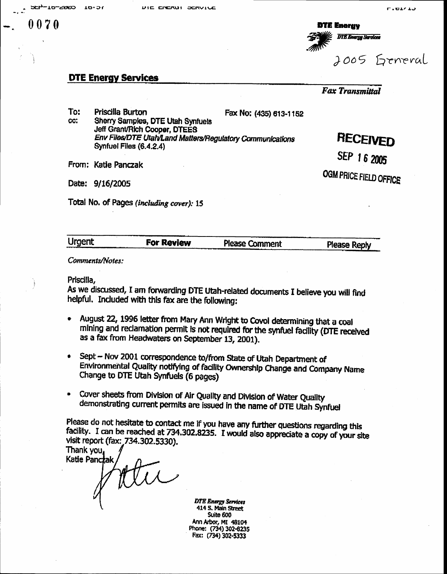CC.

 $0070$ 

**DTE Energy DTE Energy Services** 2005 General

### **DTE Energy Services**

**Fax Transmittal** To: Priscilla Burton Fax No: (435) 613-1152 Sherry Samples, DTE Utah Synfuels Jeff Grant/Rich Cooper, DTEES **RECEIVED** Env Files/DTE Utah/Land Matters/Regulatory Communications Synfuel Files (6.4.2.4) SEP 16 2005 From: Katie Panczak OGM PRICE FIELD OFFICE Date: 9/16/2005 Total No. of Pages (including cover): 15

| Urgent | <b>For Review</b> |                |              |
|--------|-------------------|----------------|--------------|
|        |                   | Please Comment | Please Reply |
|        |                   |                |              |
|        |                   |                |              |

Comments/Notes:

Priscilla,

As we discussed, I am forwarding DTE Utah-related documents I believe you will find helpful. Included with this fax are the following:

- August 22, 1996 letter from Mary Ann Wright to Covol determining that a coal  $\bullet$ mining and reclamation permit is not required for the synfuel facility (DTE received as a fax from Headwaters on September 13, 2001).
- Sept Nov 2001 correspondence to/from State of Utah Department of Environmental Quality notifying of facility Ownership Change and Company Name Change to DTE Utah Synfuels (6 pages)
- Cover sheets from Division of Air Quality and Division of Water Quality  $\bullet$ demonstrating current permits are issued in the name of DTE Utah Synfuel

Please do not hesitate to contact me if you have any further questions regarding this facility. I can be reached at 734.302.8235. I would also appreciate a copy of your site visit report (fax: 734.302.5330).

Thank you, Katie Panczak ttu

**DTE Energy Services** 414 S. Main Street Suite 600 Ann Arbor, MI 48104 Phone: (734) 302-8235 Fax: (734) 302-5333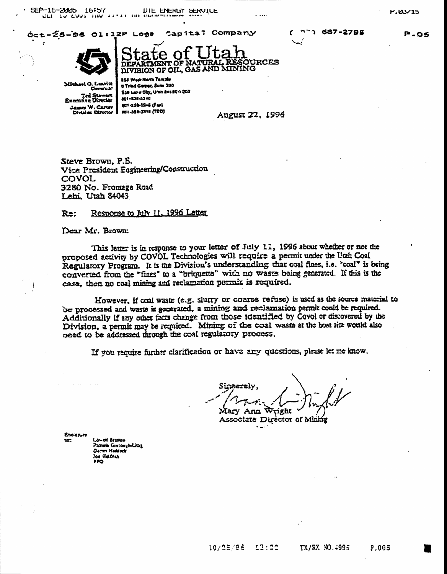SEP-16-2005 16:57 DIE ENERGY SERVILLE

Capital Company óct-Ź5-96 Ol:12P Log?



OURCES **DEPARTMENT OF N** DIVISION OF OIL, GAS AND MINING

Michael Q. Leawitt Coversar Ted Stawart<br>Exemive Diretter James W. Carter Division Director **355 Wast Horth Terrole** 3 Triad Contar, Salta 350 San Lake City, Uran 8418041203 801-338-5343 201-358-3244 (Far) FEI-320-3318 (TDD)

**August 22, 1996** 

Steve Brown, P.E. Vice President Engineering/Construction COVOL 3280 No. Fromage Road Lehi, Utah 84043

#### Response to July 11, 1996 Letter Re:

Dear Mr. Brown:

This letter is in response to your letter of July 11, 1996 about whether or not the proposed activity by COVOL Technologies will require a permit under the Utah Coal Regularory Program. It is the Division's understanding that coal fines, i.e. "coal" is being converted from the "fines" to a "briquette" with no waste being generated. If this is the case, then no coal mining and reclamation permit is required.

However, if coal waste (e.g. slurry or coarse refuse) is used as the source material to be processed and waste is generated, a mining and reclamation permit could be required. Additionally if any other facts change from those identified by Covol or discovered by the Division, a permit may be required. Mining of the coal waste at the host site would also need to be addressed through the coal regulatory process.

If you require further clarification or have any questions, please let me know.

Sineerelv. ight Mary Ann

Associate Director of Mining

Enclosure

La-off Braston Pamela Gruppevholdine Darwn Haddocy los Hamer PFO

**1 687-2795**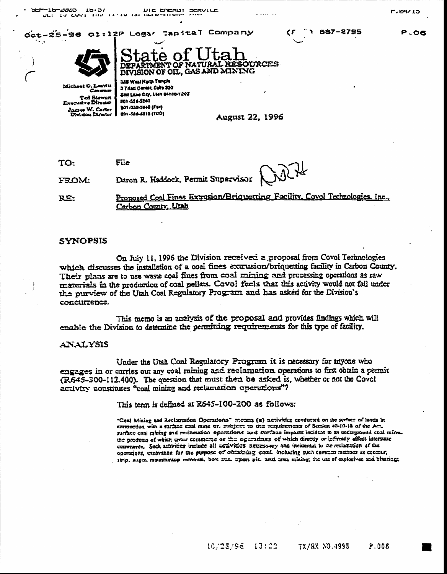THE THE ENERGY DERVICE שבו' -10-2000  $10.56$ ULT IN CUVE

Oct-25-96 ol:12P Logar Tapital Company



**OURCES DIVISION OF OIL, GAS AND MINING** 

Mich as Vitt Carara ar Ted Stewart mava Director James W. Carter Division Dire حصاء

355 West North Temple 3 Triad Center, Suite 330 Son Lake City, Ulah 84180-1203 801-534-5340 pat -ass-sum (Fax) 891-538-5319 (TDD)

August 22, 1996

TO: File Daron R. Haddock, Permit Supervisor **FROM:** 

Proposed Coal Fines Extrusion/Briquetting Facility. Covol Technologies. Inc., RÉ: Carbon County, Utah

#### synopsis

On July 11, 1996 the Division received a proposal from Covol Technologies which discusses the installation of a coal fines extrusion/briquetting facility in Carbon County. Their plans are to use waste coal fines from coal mining and processing operations as raw materials in the production of coal pellets. Covoi feels that this activity would not fall under the purview of the Utah Coal Regulatory Program and has asked for the Division's concurrence.

This memo is an analysis of the proposal and provides findings which will enable the Division to determine the permitting requirements for this type of facility.

### **ANALYSIS**

Under the Utah Coal Regulatory Program it is necessary for anyone who engages in or carries out any coal mining and reclamation operations to first obtain a permit (R645-300-112.400). The question that must then be asked is, whether or not the Covol activity constitutes "coal mining and reclamation operations"?

This term is defined at R645-100-200 as follows:

"Goal Mining and Reclamation Operations" means (a) activities conducted on the surface of lands in connection with a furnate eral mine or, subject to the requirements of Sexion 40-10-12 of the Act, surface coal mining and reclamation operations and surface impacts incident is an untarground coal mine. the products of which enter commerce or the operations of which directly or indirectly affect interstate commence. Such acavities include all activities necessary and incidental to the reclamation of the operations, excavance for the purpose of abiaining coal including such commen methods as contrast. strip, auger, mountaintop removal, box zur, upon pit, and area mining; the use of explosives and blacting;

P.O6

**F.04/15**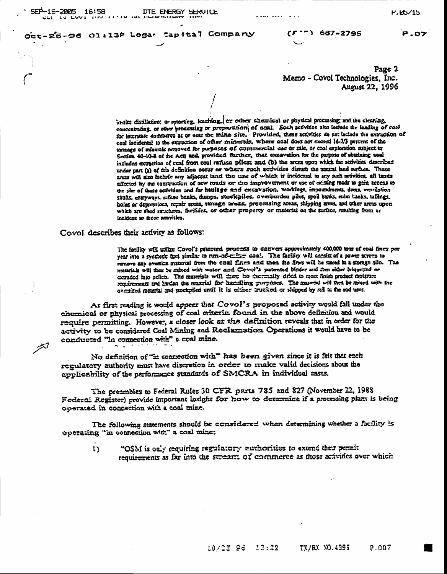أتلخز

**P.OZ** 

 $P.05/15$ 

Oct-25-96 01:13P Logar Capital Company

Page 2 Memo - Covol Technologies, Inc. August 22, 1996

in-sim distillation; or recorting, leaching, or other chemical or physical processing; and the cleaning, concentrating, or other processing or preparation of ereal. Such activities also include the loading of cost for interstate commerce as or near the milite site. Provided, these activities do not lackede the extraction of coal iscidental to the extraction of other minerals, where coal does not exerci 16-23 percent of the tonange of miserals removed for purposes of commercial use or sale, or coal exploration subject to Section 40-10-8 of the Act; and provided further, that excavation for the purpose of comining coal includes extraction of coal from coal reruses piles: and (b) the areas upon which the setivities described under part (a) of this definition occur or where such zerivities disturb the natural land surface. These areas will also include any adjacent land the use of which is incidental to any such activities, all lands affected by the construction of new reads or the improvement or use of existing reads to gain access to the six of those acrivities and for haulage and excavation, worklags, impoundments, dams, venulation shifts, engywayi, mfuye banks, dumps, stock:piles, averburden piles, spoil banks, enlin tanks, tallings, holes or depressions, repair areas, storage areas. processing areas, shipping areas, and other areas upon which are shed structures, facilides, or other property or material on the surface resulting from or insident to fhose amovities.

#### Covol describes their activity as follows:

The facility will utilize Covol's patented process to cenvert approximately 400,000 mas of coal fines per year into a synthetic fuel similar to run-ox-caline cast. The facility will cansist of a power screen to remove any oversize material from the coal fines and then the fines will be stored in a storage silo. The materials will then be mixed with water and Covol's patented binder and then either briquened or extruded into aclien. The materials will does be thermally dried to meet finish product moisture requirements and harden the mustical for handeling guagenes. The material will then be mixed with the oversized material and stockpiled until it is either trucked or shipped by rad to the end user.

At first reading it would appear that Covol's proposed activity would fall under the chemical or physical processing of coal criteria found in the above definition and would require permitting. However, a closer look at the definition reveals that in order for the activity to be considered Coal Mining and Reclarmation Operations it would have to be conducted "in connection with" a coal mine.

No definition of "in connection with" has been given since it is felt that each regulatory authority must have discretion in order to make valid decisions about the applicability of the performance standards of SMCRA in individual cases.

The preambles to Federal Rules 30 CFR parts 785 and 827 (November 22, 1988 Federal Register) provide important insight for how to determine if a precessing plant is being operated in connection with a coal mine.

The following statements should be considered when determining whether a facility is operating "in connection wit" a coal mine:

"OSM is only requiring regulatory authorities to extend their permit  $\mathbf{D}$ requirements as far into the stream: of commerce as those activities over which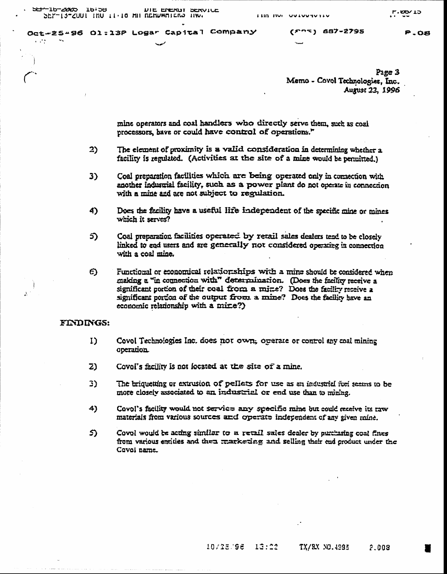SEP-16-2005 16:58 DIE ENERGT SERVICE SEP-13-2001 INU 11.10 MH REHUWRIERS HW.

 $\sim 10^{11}$ 

Oct-25-96 Ol:13P Logar Capital Company

 $(5.22)$  687-2795

P.OB

Page 3 Memo - Covol Technologies, Inc. August 23, 1996

mine operators and coal handlers who directly serve them, such as coal processors, bave or could have control of operations."

- 2) The element of proximity is a valid consideration in determining whether a facility is regulated. (Activities at the site of a mine would be pennitted.)
- 3) Coal preparation facilities which are being operated only in comection with another industrial facility, such as a power plant do not operate in connection with a mine and are not subject to regulation.
- Does the facility have a useful life independent of the specific mine or mines 4) which it serves?
- Coal preparation facilities operated by retail sales dealers tend to be closely 5) linked to end users and are generally not considered operating in connection with a coal mine.
- O. Functional or economical relationships with a mine should be considered when making a "in connection with" determination. (Does the facility receive a significant portion of their coal from a mine? Does the facility receive a significant portion of the output from a mine? Does the facility have an economic relationship with a mixe?)

#### FINDINGS:

 $\Lambda$ 

- Covol Technologies Inc. does not own, organic or control any coal mining I) operation
- $Z$ Covol's facility is not located at the site of a mine.
- 3) The briquetting or extrusion of pellets for use as an industrial fuel seems to be more closely associated to an industrial or end use than to mining.
- 4) Covol's facility would not service any specific mine but could receive its raw materials from various sources and operate independent of any given mine.
- \$). Covel would be acting similar to a retail sales dealer by purchasing coal fines from various enrities and then markening and selling their end groduct under the Covoi name.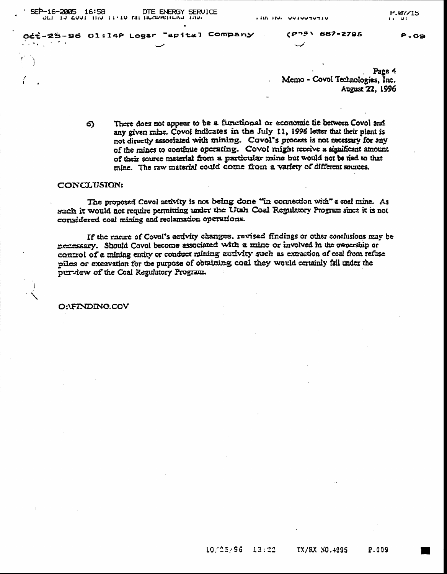-16-2005 16:58 DTE ENERGY SERVICE SEP-16-2005 16:58

Odt-25-96 Ol:14P Logar "apital Company

المسدد

P.O9

Page 4 Memo - Covol Technologies, Inc. August 22, 1996

There does not appear to be a functional or economic tie between Covol and 6) any given mine. Covol indicates in the July 11, 1996 letter that their plant is not directly associated with mining. Covol's process is not necessary for any of the mines to continue operating. Covol might receive a significant amount of their source material from a particular mine but would not be ned to that mine. The raw material could come from a variety of different sources.

#### CONCLUSION:

The proposed Covol serivity is not being done "in connection with" a coal mine. As such it would not require permitting under the Utah Coal Regulatory Program since it is not considered coal mining and reclamation operations.

If the nanne of Covol's activity changes, revised findings or other conclusions may be nemessary. Should Covol become associated with a mine or involved in the ownership or control of a mining entity or conduct mining activity such as extraction of coal from refuse piles or excavation for the purpose of obtaining coal they would certainly fall under the purview of the Coal Regulatory Program.

O:\FINDING.COV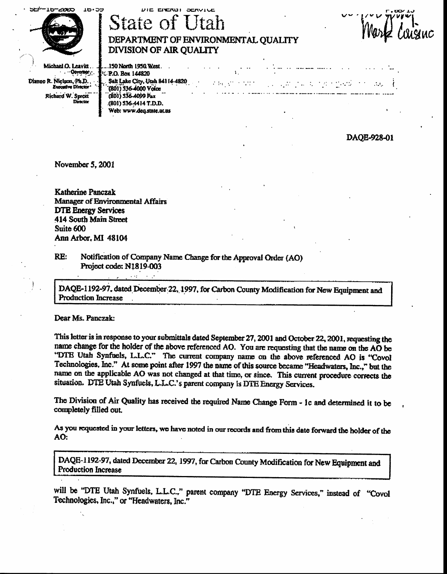| 562-16-2000<br>16.09                                   | DIE ENERUI SERVILE<br><b>State of Utah</b><br>DEPARTMENT OF ENVIRONMENTAL QUALITY<br>DIVISION OF AIR QUALITY             | . טסאנ<br>snWur |
|--------------------------------------------------------|--------------------------------------------------------------------------------------------------------------------------|-----------------|
| Michael O. Leavitt<br>$\cdots$ Coverage $\cdots$       | . 150 North 1950 West .<br><b>TUP.O. Box 144820</b>                                                                      |                 |
| Dianne R. Nielson, Ph.D.,<br><b>Executive Director</b> | Salt Lake City, Utah 84114-4820<br>ින් මිල්ලන් පාර්ලික විශේෂ විද්යාලයේ දෙන් පිළිබඳ දිනේ විය. මෙය<br>7801) 536-4000 Voice |                 |
| Richard W. Sprott<br>Director                          | (801) 536-4099 Fax<br>(801) 536-4414 T.D.D.<br>Wahi ummi dan shate ni no                                                 |                 |

DAOE-928-01

November 5, 2001

**Katherine Panczak** Manager of Environmental Affairs **DTE Energy Services** 414 South Main Street Suite 600 Ann Arbor, MI 48104

RE: Notification of Company Name Change for the Approval Order (AO) Project code: N1819-003

DAQE-1192-97, dated December 22, 1997, for Carbon County Modification for New Equipment and **Production Increase** 

Dear Ms. Panczak:

This letter is in response to your submittals dated September 27, 2001 and October 22, 2001, requesting the name change for the holder of the above referenced AO. You are requesting that the name on the AO be "DTE Utah Synfuels, L.L.C." The current company name on the above referenced AO is "Covol Technologies, Inc." At some point after 1997 the name of this source became "Headwaters, Inc.," but the name on the applicable AO was not changed at that time, or since. This current procedure corrects the situation. DTE Utah Synfuels, L.L.C.'s parent company is DTE Energy Services.

The Division of Air Quality has received the required Name Change Form - ic and determined it to be completely filled out.

As you requested in your letters, we have noted in our records and from this date forward the holder of the  $AO:$ 

DAQE-1192-97, dated December 22, 1997, for Carbon County Modification for New Equipment and **Production Increase** 

will be "DTE Utah Synfuels, L.L.C.," parent company "DTE Energy Services," instead of "Covol Technologies, Inc.," or "Headwaters, Inc."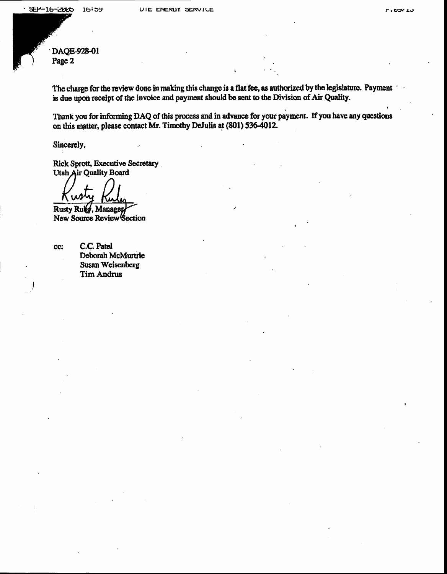DAQE-928-01 Page 2

The charge for the review done in making this change is a flat fee, as authorized by the legislature. Payment is due upon receipt of the invoice and payment should be sent to the Division of Air Quality.

Thank you for informing DAQ of this process and in advance for your payment. If you have any questions on this matter, please contact Mr. Timothy DeJulis at (801) 536-4012.

Sincerely,

Rick Sprott, Executive Secretary. Utah Air Quality Board

Rusty Ruly, Managey New Source Review Section

cc:

C.C. Patel Deborah McMurtrie Susan Weisenberg Tim Andrus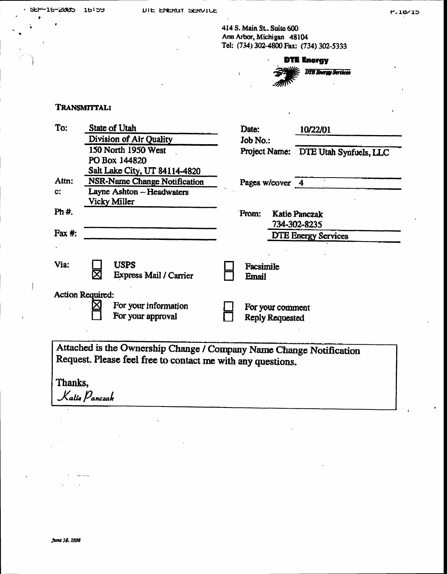P.10/15

414 S. Main St., Suite 600 Ann Arbor, Michigan 48104 Tel: (734) 302-4800 Fax: (734) 302-5333

**DTE Energy DTE Energy Services** 

### TRANSMITTAL:

| To:              | <b>State of Utah</b>                                                                                                               | Date:              |                                            | 10/22/01                             |
|------------------|------------------------------------------------------------------------------------------------------------------------------------|--------------------|--------------------------------------------|--------------------------------------|
|                  | Division of Air Quality                                                                                                            | Job No.:           |                                            |                                      |
|                  | 150 North 1950 West                                                                                                                |                    |                                            | Project Name: DTE Utah Synfuels, LLC |
|                  | PO Box 144820                                                                                                                      |                    |                                            |                                      |
|                  | Salt Lake City, UT 84114-4820                                                                                                      |                    |                                            |                                      |
| Attn:            | NSR-Name Change Notification                                                                                                       | Pages w/cover 4    |                                            |                                      |
| $\mathbf{C}$ :   | Layne Ashton - Headwaters                                                                                                          |                    |                                            |                                      |
|                  | Vicky Miller                                                                                                                       |                    |                                            |                                      |
| Ph #.            |                                                                                                                                    | From:              |                                            | <b>Katie Panczak</b>                 |
|                  |                                                                                                                                    |                    |                                            | 734-302-8235                         |
| $\text{Fax } #:$ |                                                                                                                                    |                    |                                            | <b>DTE Energy Services</b>           |
|                  |                                                                                                                                    |                    |                                            |                                      |
| Via:             | <b>USPS</b><br><b>Express Mail / Carrier</b>                                                                                       | Facsimile<br>Email |                                            |                                      |
|                  |                                                                                                                                    |                    |                                            |                                      |
| Action Required: | For your information<br>For your approval                                                                                          |                    | For your comment<br><b>Reply Requested</b> |                                      |
|                  | Attached is the Ownership Change / Company Name Change Notification<br>Request. Please feel free to contact me with any questions. |                    |                                            |                                      |

 $\ddot{\phantom{a}}$ 

Thanks, Kalie Panczak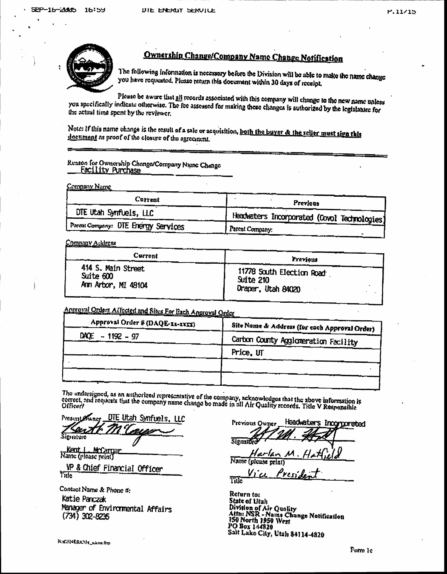

# Ownership Change/Company Name Change Notification

The following information is necessary before the Division will be able to make the name change you have requested. Please return this document within 30 days of receipt.

Please be aware that all records associated with this company will change to the new name unless you specifically indicate otherwise. The fee assessed for making these changes is authorized by the legislature for the actual time spent by the reviewer.

Note: If this name change is the result of a sale or acquisition, both the buyer & the seller must sign this doeument as proof of the closure of the agreement.

# Reason for Ownership Change/Company Name Change

**Company Name** 

| Current                             | Previous                                     |
|-------------------------------------|----------------------------------------------|
| DTE Utah Synfuels, LLC              | Headwaters Incorporated (Covol Technologies) |
| Parent Company: DTE Energy Services | Parent Company:                              |

Company Address

| Current             | Previous                  |
|---------------------|---------------------------|
| 414 S. Main Street  | 11778 South Election Road |
| Suite 600           | Suite 210                 |
| Ann Arbor, MI 48104 | Draper, Utah 84020        |

### Approval Orders Affected and Sites For Bach Approval Order

| Approval Order # (DAQE-XX-XXXX) | Site Name & Address (for each Approval Order) |
|---------------------------------|-----------------------------------------------|
| $DAQE - 1192 - 97$              | Carbon County Agglomeration Facility          |
|                                 | Price, UT                                     |
|                                 |                                               |
|                                 |                                               |

The undersigned, as an authorized representative of the company, acknowledges that the above information is correct, and requests that the company name change be made in all Air Quality records. Title V Responsible

Sunct DTE Utah Synfuels. Present.

ienature

Kent L. McCargar

VP & Chief Financial Officer Tide

Contact Name & Phone #: Katie Panczak Manager of Environmental Affairs  $(734)$  302-8235

Headwaters incorporated Previous Owner **Siens** Name

Title

Return to: State of Utah State of Luan<br>Division of Air Quality<br>Attn: NSR - Name Change Notification<br>150 North 1950 West<br>PO Box 144820<br>Salt Lub City Meab 24114,4920 Salt Lake City, Utah 84114-4820

N. GENERICAL Palame. frm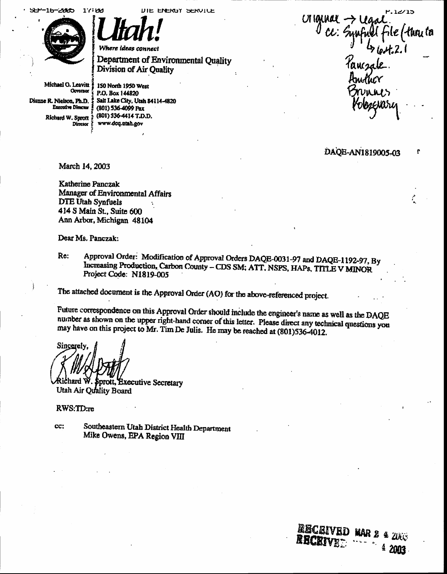$16 - 2005$  $1'$ 51

DIE ENERGY SERVILE

Department of Environmental Quality



Michael O. Leavitt Governor Dianne R. Nielson, Ph.D. **Executive Director** Richard W. Sprott ? Director

150 North 1950 West P.O. Box 144820 Salt Lake City, Utah 84114-4820 (801) 536-4099 Pax (801) 536-4414 T.D.D. www.dcq.utah.gov

Division of Air Quality

 $.12/15$ Uliquinal > Lego

### DAQE-AN1819005-03

**EECEIVED MAR** 

RECEIVEE

 $4$   $2h$ 

2003

ř

March 14, 2003

Katherine Panczak Manager of Environmental Affairs **DTE Utah Synfuels** 414 S Main St., Suite 600 Ann Arbor, Michigan 48104

Dear Ms. Panczak:

Approval Order: Modification of Approval Orders DAQE-0031-97 and DAQE-1192-97, By Re: Increasing Production, Carbon County - CDS SM; ATT, NSPS, HAPs, TITLE V MINOR Project Code: N1819-005

The attached document is the Approval Order (AO) for the above-referenced project.

Future correspondence on this Approval Order should include the engineer's name as well as the DAQE number as shown on the upper right-hand corner of this letter. Please direct any technical questions you may have on this project to Mr. Tim De Julis. He may be reached at (801)536-4012.

Sincerel

Richard W. Sprott, Executive Secretary Utah Air Quality Board

RWS:TD:re

CC: Southeastern Utah District Health Department Mike Owens, EPA Region VIII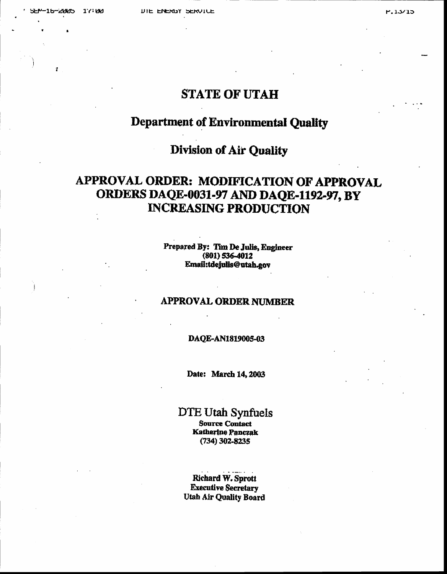### **STATE OF UTAH**

### **Department of Environmental Quality**

### **Division of Air Quality**

## APPROVAL ORDER: MODIFICATION OF APPROVAL ORDERS DAQE-0031-97 AND DAQE-1192-97, BY **INCREASING PRODUCTION**

Prepared By: Tim De Julis, Engineer  $(801) 536-4012$ Email:tdejulis@utah.gov

### **APPROVAL ORDER NUMBER**

### DAQE-AN1819005-03

Date: March 14, 2003

# DTE Utah Synfuels

Source Contact **Katherine Panczak** (734) 302-8235

**Richard W. Sprott Executive Secretary Utah Air Quality Board**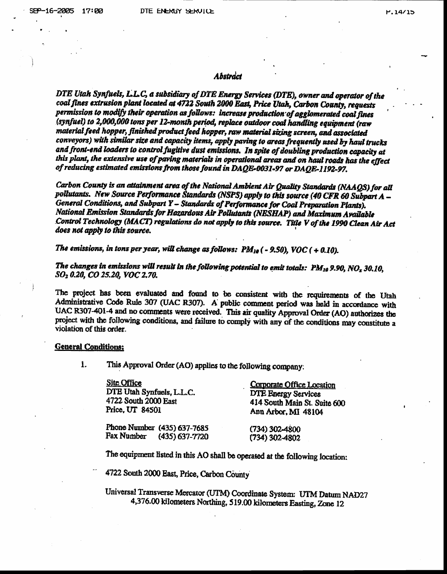#### Abstráct

DTE Utah Synfuels, L.L.C, a subsidiary of DTE Energy Services (DTE), owner and operator of the coal fines extrusion plant located at 4722 South 2000 East, Price Utah, Carbon County, requests permission to modify their operation as follows: increase production of agglomerated coal fines (synfuel) to 2,000,000 tons per 12-month period, replace outdoor coal handling equipment (raw material feed hopper, finished product feed hopper, raw material sizing screen, and associated conveyors) with similar size and capacity items, apply paving to areas frequently used by haul trucks and front-end loaders to control fugitive dust emissions. In spite of doubling production capacity at this plant, the extensive use of paving materials in operational areas and on haul roads has the effect of reducing estimated emissions from those found in DAQE-0031-97 or DAQE-1192-97.

Carbon County is an attainment area of the National Ambient Air Quality Standards (NAAQS) for all pollutants. New Source Performance Standards (NSPS) apply to this source (40 CFR 60 Subpart A -General Conditions, and Subpart Y - Standards of Performance for Coal Preparation Plants). National Emission Standards for Hazardous Air Pollutants (NESHAP) and Maximum Available Control Technology (MACT) regulations do not apply to this source. Title V of the 1990 Clean Air Act does not apply to this source.

The emissions, in tons per year, will change as follows:  $PM_{10}$  ( - 9.50), VOC ( + 0.10).

The changes in emissions will result in the following potential to emit totals:  $PM_{10}$  9.90, NO<sub>x</sub> 30.10, SO<sub>2</sub> 0.20, CO 25.20, VOC 2.70.

The project has been evaluated and found to be consistent with the requirements of the Utah Administrative Code Rule 307 (UAC R307). A public comment period was held in accordance with UAC R307-401-4 and no comments were received. This air quality Approval Order (AO) authorizes the project with the following conditions, and failure to comply with any of the conditions may constitute a violation of this order.

#### **General Conditions:**

 $1.$ This Approval Order (AO) applies to the following company.

| Site Office                 | Corporate Office Location    |  |
|-----------------------------|------------------------------|--|
| DTE Utah Synfuels, L.L.C.   | <b>DTE Energy Services</b>   |  |
| 4722 South 2000 East        | 414 South Main St. Suite 600 |  |
| Price, UT 84501             | Ann Arbor, MI 48104          |  |
| Phone Number (435) 637-7685 | $(734)$ 302-4800             |  |
| Fax Number (435) 637-7720   | $(734)$ 302-4802             |  |

The equipment listed in this AO shall be operated at the following location:

4722 South 2000 East, Price, Carbon County

Universal Transverse Mercator (UTM) Coordinate System: UTM Datum NAD27 4,376.00 kilometers Northing, 519.00 kilometers Easting, Zone 12